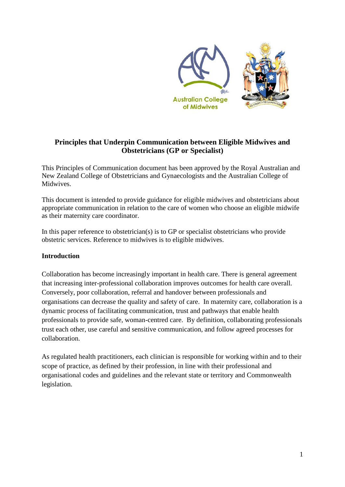

# **Principles that Underpin Communication between Eligible Midwives and Obstetricians (GP or Specialist)**

This Principles of Communication document has been approved by the Royal Australian and New Zealand College of Obstetricians and Gynaecologists and the Australian College of **Midwives** 

This document is intended to provide guidance for eligible midwives and obstetricians about appropriate communication in relation to the care of women who choose an eligible midwife as their maternity care coordinator.

In this paper reference to obstetrician(s) is to GP or specialist obstetricians who provide obstetric services. Reference to midwives is to eligible midwives.

## **Introduction**

Collaboration has become increasingly important in health care. There is general agreement that increasing inter-professional collaboration improves outcomes for health care overall. Conversely, poor collaboration, referral and handover between professionals and organisations can decrease the quality and safety of care. In maternity care, collaboration is a dynamic process of facilitating communication, trust and pathways that enable health professionals to provide safe, woman-centred care. By definition, collaborating professionals trust each other, use careful and sensitive communication, and follow agreed processes for collaboration.

As regulated health practitioners, each clinician is responsible for working within and to their scope of practice, as defined by their profession, in line with their professional and organisational codes and guidelines and the relevant state or territory and Commonwealth legislation.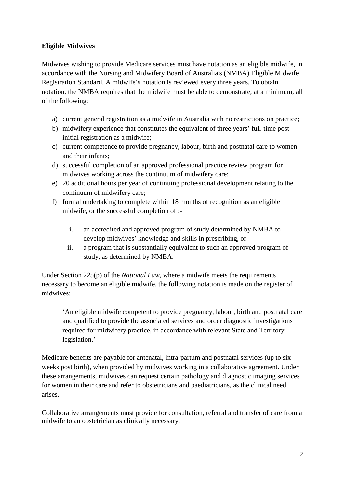## **Eligible Midwives**

Midwives wishing to provide Medicare services must have notation as an eligible midwife, in accordance with the Nursing and Midwifery Board of Australia's (NMBA) Eligible Midwife Registration Standard. A midwife's notation is reviewed every three years. To obtain notation, the NMBA requires that the midwife must be able to demonstrate, at a minimum, all of the following:

- a) current general registration as a midwife in Australia with no restrictions on practice;
- b) midwifery experience that constitutes the equivalent of three years' full-time post initial registration as a midwife;
- c) current competence to provide pregnancy, labour, birth and postnatal care to women and their infants;
- d) successful completion of an approved professional practice review program for midwives working across the continuum of midwifery care;
- e) 20 additional hours per year of continuing professional development relating to the continuum of midwifery care;
- f) formal undertaking to complete within 18 months of recognition as an eligible midwife, or the successful completion of :
	- i. an accredited and approved program of study determined by NMBA to develop midwives' knowledge and skills in prescribing, or
	- ii. a program that is substantially equivalent to such an approved program of study, as determined by NMBA.

Under Section 225(p) of the *National Law*, where a midwife meets the requirements necessary to become an eligible midwife, the following notation is made on the register of midwives:

'An eligible midwife competent to provide pregnancy, labour, birth and postnatal care and qualified to provide the associated services and order diagnostic investigations required for midwifery practice, in accordance with relevant State and Territory legislation.'

Medicare benefits are payable for antenatal, intra-partum and postnatal services (up to six weeks post birth), when provided by midwives working in a collaborative agreement. Under these arrangements, midwives can request certain pathology and diagnostic imaging services for women in their care and refer to obstetricians and paediatricians, as the clinical need arises.

Collaborative arrangements must provide for consultation, referral and transfer of care from a midwife to an obstetrician as clinically necessary.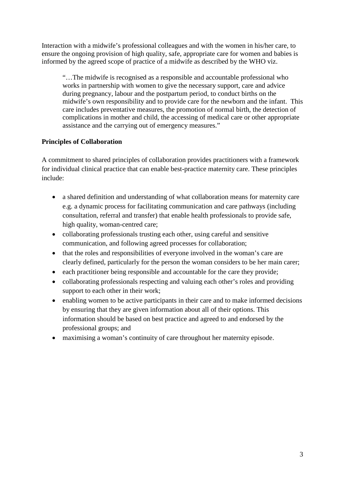Interaction with a midwife's professional colleagues and with the women in his/her care, to ensure the ongoing provision of high quality, safe, appropriate care for women and babies is informed by the agreed scope of practice of a midwife as described by the WHO viz.

"…The midwife is recognised as a responsible and accountable professional who works in partnership with women to give the necessary support, care and advice during pregnancy, labour and the postpartum period, to conduct births on the midwife's own responsibility and to provide care for the newborn and the infant. This care includes preventative measures, the promotion of normal birth, the detection of complications in mother and child, the accessing of medical care or other appropriate assistance and the carrying out of emergency measures."

## **Principles of Collaboration**

A commitment to shared principles of collaboration provides practitioners with a framework for individual clinical practice that can enable best-practice maternity care. These principles include:

- a shared definition and understanding of what collaboration means for maternity care e.g. a dynamic process for facilitating communication and care pathways (including consultation, referral and transfer) that enable health professionals to provide safe, high quality, woman-centred care;
- collaborating professionals trusting each other, using careful and sensitive communication, and following agreed processes for collaboration;
- that the roles and responsibilities of everyone involved in the woman's care are clearly defined, particularly for the person the woman considers to be her main carer;
- each practitioner being responsible and accountable for the care they provide;
- collaborating professionals respecting and valuing each other's roles and providing support to each other in their work;
- enabling women to be active participants in their care and to make informed decisions by ensuring that they are given information about all of their options. This information should be based on best practice and agreed to and endorsed by the professional groups; and
- maximising a woman's continuity of care throughout her maternity episode.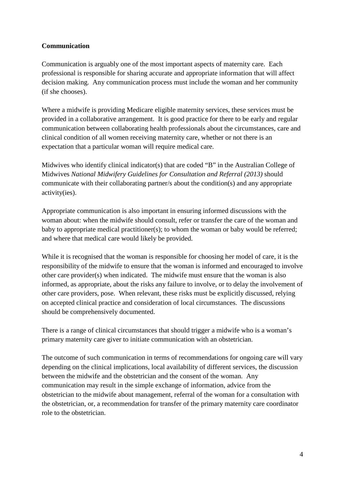### **Communication**

Communication is arguably one of the most important aspects of maternity care. Each professional is responsible for sharing accurate and appropriate information that will affect decision making. Any communication process must include the woman and her community (if she chooses).

Where a midwife is providing Medicare eligible maternity services, these services must be provided in a collaborative arrangement. It is good practice for there to be early and regular communication between collaborating health professionals about the circumstances, care and clinical condition of all women receiving maternity care, whether or not there is an expectation that a particular woman will require medical care.

Midwives who identify clinical indicator(s) that are coded "B" in the Australian College of Midwives *National Midwifery Guidelines for Consultation and Referral (2013)* should communicate with their collaborating partner/s about the condition(s) and any appropriate activity(ies).

Appropriate communication is also important in ensuring informed discussions with the woman about: when the midwife should consult, refer or transfer the care of the woman and baby to appropriate medical practitioner(s); to whom the woman or baby would be referred; and where that medical care would likely be provided.

While it is recognised that the woman is responsible for choosing her model of care, it is the responsibility of the midwife to ensure that the woman is informed and encouraged to involve other care provider(s) when indicated. The midwife must ensure that the woman is also informed, as appropriate, about the risks any failure to involve, or to delay the involvement of other care providers, pose. When relevant, these risks must be explicitly discussed, relying on accepted clinical practice and consideration of local circumstances. The discussions should be comprehensively documented.

There is a range of clinical circumstances that should trigger a midwife who is a woman's primary maternity care giver to initiate communication with an obstetrician.

The outcome of such communication in terms of recommendations for ongoing care will vary depending on the clinical implications, local availability of different services, the discussion between the midwife and the obstetrician and the consent of the woman. Any communication may result in the simple exchange of information, advice from the obstetrician to the midwife about management, referral of the woman for a consultation with the obstetrician, or, a recommendation for transfer of the primary maternity care coordinator role to the obstetrician.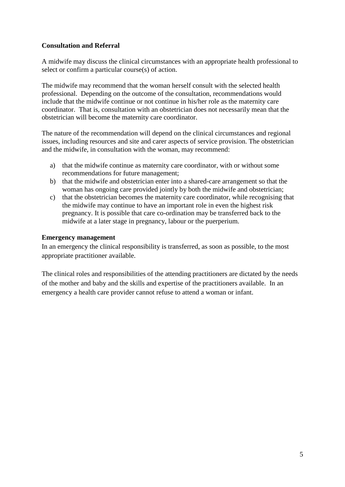#### **Consultation and Referral**

A midwife may discuss the clinical circumstances with an appropriate health professional to select or confirm a particular course(s) of action.

The midwife may recommend that the woman herself consult with the selected health professional. Depending on the outcome of the consultation, recommendations would include that the midwife continue or not continue in his/her role as the maternity care coordinator. That is, consultation with an obstetrician does not necessarily mean that the obstetrician will become the maternity care coordinator.

The nature of the recommendation will depend on the clinical circumstances and regional issues, including resources and site and carer aspects of service provision. The obstetrician and the midwife, in consultation with the woman, may recommend:

- a) that the midwife continue as maternity care coordinator, with or without some recommendations for future management;
- b) that the midwife and obstetrician enter into a shared-care arrangement so that the woman has ongoing care provided jointly by both the midwife and obstetrician;
- c) that the obstetrician becomes the maternity care coordinator, while recognising that the midwife may continue to have an important role in even the highest risk pregnancy. It is possible that care co-ordination may be transferred back to the midwife at a later stage in pregnancy, labour or the puerperium.

#### **Emergency management**

In an emergency the clinical responsibility is transferred, as soon as possible, to the most appropriate practitioner available.

The clinical roles and responsibilities of the attending practitioners are dictated by the needs of the mother and baby and the skills and expertise of the practitioners available. In an emergency a health care provider cannot refuse to attend a woman or infant.